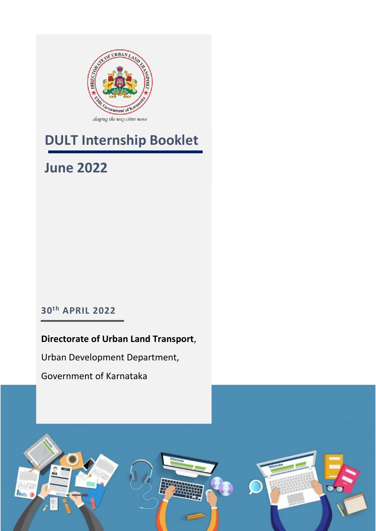

## **DULT Internship Booklet**

## **June 2022**

### **30th APRIL 2022**

### **Directorate of Urban Land Transport**,

Urban Development Department,

Government of Karnataka

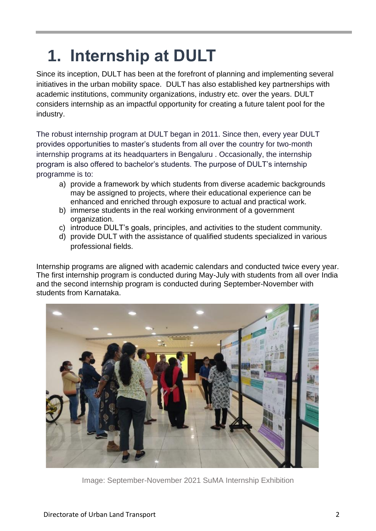# **1. Internship at DULT**

Since its inception, DULT has been at the forefront of planning and implementing several initiatives in the urban mobility space. DULT has also established key partnerships with academic institutions, community organizations, industry etc. over the years. DULT considers internship as an impactful opportunity for creating a future talent pool for the industry.

The robust internship program at DULT began in 2011. Since then, every year DULT provides opportunities to master's students from all over the country for two-month internship programs at its headquarters in Bengaluru . Occasionally, the internship program is also offered to bachelor's students. The purpose of DULT's internship programme is to:

- a) provide a framework by which students from diverse academic backgrounds may be assigned to projects, where their educational experience can be enhanced and enriched through exposure to actual and practical work.
- b) immerse students in the real working environment of a government organization.
- c) introduce DULT's goals, principles, and activities to the student community.
- d) provide DULT with the assistance of qualified students specialized in various professional fields.

Internship programs are aligned with academic calendars and conducted twice every year. The first internship program is conducted during May-July with students from all over India and the second internship program is conducted during September-November with students from Karnataka.



Image: September-November 2021 SuMA Internship Exhibition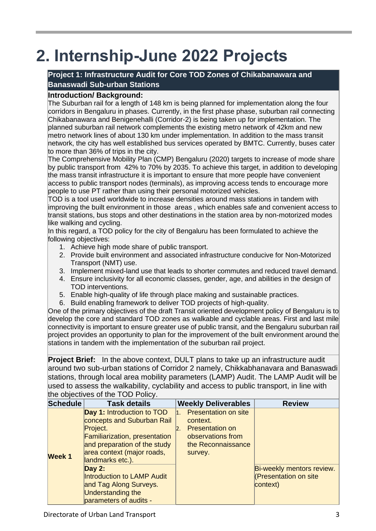# **2. Internship-June 2022 Projects**

#### **Project 1: Infrastructure Audit for Core TOD Zones of Chikabanawara and Banaswadi Sub-urban Stations**

#### **Introduction/ Background:**

The Suburban rail for a length of 148 km is being planned for implementation along the four corridors in Bengaluru in phases. Currently, in the first phase phase, suburban rail connecting Chikabanawara and Benigenehalli (Corridor-2) is being taken up for implementation. The planned suburban rail network complements the existing metro network of 42km and new metro network lines of about 130 km under implementation. In addition to the mass transit network, the city has well established bus services operated by BMTC. Currently, buses cater to more than 36% of trips in the city.

The Comprehensive Mobility Plan (CMP) Bengaluru (2020) targets to increase of mode share by public transport from 42% to 70% by 2035. To achieve this target, in addition to developing the mass transit infrastructure it is important to ensure that more people have convenient access to public transport nodes (terminals), as improving access tends to encourage more people to use PT rather than using their personal motorized vehicles.

TOD is a tool used worldwide to increase densities around mass stations in tandem with improving the built environment in those areas , which enables safe and convenient access to transit stations, bus stops and other destinations in the station area by non-motorized modes like walking and cycling.

In this regard, a TOD policy for the city of Bengaluru has been formulated to achieve the following objectives:

- 1. Achieve high mode share of public transport.
- 2. Provide built environment and associated infrastructure conducive for Non-Motorized Transport (NMT) use.
- 3. Implement mixed-land use that leads to shorter commutes and reduced travel demand.
- 4. Ensure inclusivity for all economic classes, gender, age, and abilities in the design of TOD interventions.
- 5. Enable high-quality of life through place making and sustainable practices.
- 6. Build enabling framework to deliver TOD projects of high-quality.

One of the primary objectives of the draft Transit oriented development policy of Bengaluru is to develop the core and standard TOD zones as walkable and cyclable areas. First and last mile connectivity is important to ensure greater use of public transit, and the Bengaluru suburban rail project provides an opportunity to plan for the improvement of the built environment around the stations in tandem with the implementation of the suburban rail project.

**Project Brief:** In the above context, DULT plans to take up an infrastructure audit around two sub-urban stations of Corridor 2 namely, Chikkabhanavara and Banaswadi stations, through local area mobility parameters (LAMP) Audit. The LAMP Audit will be used to assess the walkability, cyclability and access to public transport, in line with the objectives of the TOD Policy.

| <b>Schedule</b> | <b>Task details</b>                                                                                                                                                                     | <b>Weekly Deliverables</b>                                                                                                    | <b>Review</b>                                                         |
|-----------------|-----------------------------------------------------------------------------------------------------------------------------------------------------------------------------------------|-------------------------------------------------------------------------------------------------------------------------------|-----------------------------------------------------------------------|
| <b>Week 1</b>   | Day 1: Introduction to TOD<br>concepts and Suburban Rail<br>Project.<br>Familiarization, presentation<br>and preparation of the study<br>area context (major roads,<br>landmarks etc.). | <b>Presentation on site</b><br>1.<br>context.<br><b>Presentation on</b><br>observations from<br>the Reconnaissance<br>survey. |                                                                       |
|                 | <b>Day 2:</b><br>Introduction to LAMP Audit<br>and Tag Along Surveys.<br><b>Understanding the</b><br>parameters of audits -                                                             |                                                                                                                               | Bi-weekly mentors review.<br><b>(Presentation on site</b><br>context) |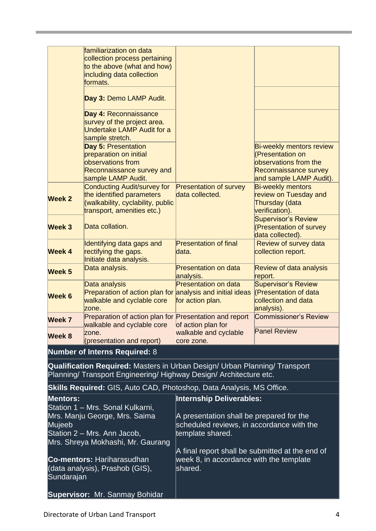|                                                                                                                                                  | familiarization on data<br>collection process pertaining<br>to the above (what and how)<br>including data collection<br>formats.   |                                                                             |                                                                                                                                  |  |
|--------------------------------------------------------------------------------------------------------------------------------------------------|------------------------------------------------------------------------------------------------------------------------------------|-----------------------------------------------------------------------------|----------------------------------------------------------------------------------------------------------------------------------|--|
|                                                                                                                                                  | Day 3: Demo LAMP Audit.                                                                                                            |                                                                             |                                                                                                                                  |  |
|                                                                                                                                                  | Day 4: Reconnaissance<br>survey of the project area.<br>Undertake LAMP Audit for a<br>sample stretch.                              |                                                                             |                                                                                                                                  |  |
|                                                                                                                                                  | Day 5: Presentation<br>preparation on initial<br>observations from<br>Reconnaissance survey and<br>sample LAMP Audit.              |                                                                             | <b>Bi-weekly mentors review</b><br>(Presentation on<br>observations from the<br>Reconnaissance survey<br>and sample LAMP Audit). |  |
| Week 2                                                                                                                                           | <b>Conducting Audit/survey for</b><br>the identified parameters<br>(walkability, cyclability, public<br>transport, amenities etc.) | <b>Presentation of survey</b><br>data collected.                            | <b>Bi-weekly mentors</b><br>review on Tuesday and<br>Thursday (data<br>verification).                                            |  |
| Week 3                                                                                                                                           | Data collation.                                                                                                                    |                                                                             | <b>Supervisor's Review</b><br>(Presentation of survey<br>data collected).                                                        |  |
| <b>Week 4</b>                                                                                                                                    | Identifying data gaps and<br>rectifying the gaps.<br>Initiate data analysis.                                                       | <b>Presentation of final</b><br>data.                                       | Review of survey data<br>collection report.                                                                                      |  |
| Week 5                                                                                                                                           | Data analysis.                                                                                                                     | <b>Presentation on data</b><br>analysis.                                    | Review of data analysis<br>report.                                                                                               |  |
| Week 6                                                                                                                                           | Data analysis<br>Preparation of action plan for analysis and initial ideas<br>walkable and cyclable core<br>zone.                  | <b>Presentation on data</b><br>for action plan.                             | <b>Supervisor's Review</b><br>(Presentation of data<br>collection and data<br>analysis).                                         |  |
| Week 7                                                                                                                                           | Preparation of action plan for Presentation and report<br>walkable and cyclable core                                               | of action plan for                                                          | <b>Commissioner's Review</b>                                                                                                     |  |
| Week 8                                                                                                                                           | zone.<br>(presentation and report)                                                                                                 | walkable and cyclable<br>core zone.                                         | <b>Panel Review</b>                                                                                                              |  |
|                                                                                                                                                  | <b>Number of Interns Required: 8</b>                                                                                               |                                                                             |                                                                                                                                  |  |
| Qualification Required: Masters in Urban Design/ Urban Planning/ Transport<br>Planning/ Transport Engineering/ Highway Design/ Architecture etc. |                                                                                                                                    |                                                                             |                                                                                                                                  |  |
| <b>Skills Required:</b> GIS, Auto CAD, Photoshop, Data Analysis, MS Office.                                                                      |                                                                                                                                    |                                                                             |                                                                                                                                  |  |
| <b>Mentors:</b><br>Station 1 - Mrs. Sonal Kulkarni,<br>Mrs. Manju George, Mrs. Saima                                                             |                                                                                                                                    | <b>Internship Deliverables:</b><br>A presentation shall be prepared for the |                                                                                                                                  |  |
| Mujeeb<br>Station 2 – Mrs. Ann Jacob,<br>Mrs. Shreya Mokhashi, Mr. Gaurang                                                                       |                                                                                                                                    | scheduled reviews, in accordance with the<br>template shared.               |                                                                                                                                  |  |
|                                                                                                                                                  |                                                                                                                                    | A final report shall be submitted at the end of                             |                                                                                                                                  |  |
| Co-mentors: Hariharasudhan<br>(data analysis), Prashob (GIS),<br>Sundarajan                                                                      |                                                                                                                                    | week 8, in accordance with the template<br>shared.                          |                                                                                                                                  |  |
|                                                                                                                                                  | <b>Supervisor: Mr. Sanmay Bohidar</b>                                                                                              |                                                                             |                                                                                                                                  |  |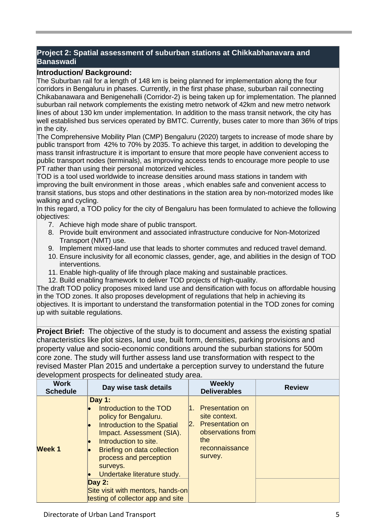#### **Project 2: Spatial assessment of suburban stations at Chikkabhanavara and Banaswadi**

#### **Introduction/ Background:**

The Suburban rail for a length of 148 km is being planned for implementation along the four corridors in Bengaluru in phases. Currently, in the first phase phase, suburban rail connecting Chikabanawara and Benigenehalli (Corridor-2) is being taken up for implementation. The planned suburban rail network complements the existing metro network of 42km and new metro network lines of about 130 km under implementation. In addition to the mass transit network, the city has well established bus services operated by BMTC. Currently, buses cater to more than 36% of trips in the city.

The Comprehensive Mobility Plan (CMP) Bengaluru (2020) targets to increase of mode share by public transport from 42% to 70% by 2035. To achieve this target, in addition to developing the mass transit infrastructure it is important to ensure that more people have convenient access to public transport nodes (terminals), as improving access tends to encourage more people to use PT rather than using their personal motorized vehicles.

TOD is a tool used worldwide to increase densities around mass stations in tandem with improving the built environment in those areas , which enables safe and convenient access to transit stations, bus stops and other destinations in the station area by non-motorized modes like walking and cycling.

In this regard, a TOD policy for the city of Bengaluru has been formulated to achieve the following objectives:

- 7. Achieve high mode share of public transport.
- 8. Provide built environment and associated infrastructure conducive for Non-Motorized Transport (NMT) use.
- 9. Implement mixed-land use that leads to shorter commutes and reduced travel demand.
- 10. Ensure inclusivity for all economic classes, gender, age, and abilities in the design of TOD interventions.
- 11. Enable high-quality of life through place making and sustainable practices.
- 12. Build enabling framework to deliver TOD projects of high-quality.

The draft TOD policy proposes mixed land use and densification with focus on affordable housing in the TOD zones. It also proposes development of regulations that help in achieving its objectives. It is important to understand the transformation potential in the TOD zones for coming up with suitable regulations.

**Project Brief:** The objective of the study is to document and assess the existing spatial characteristics like plot sizes, land use, built form, densities, parking provisions and property value and socio-economic conditions around the suburban stations for 500m core zone. The study will further assess land use transformation with respect to the revised Master Plan 2015 and undertake a perception survey to understand the future development prospects for delineated study area.

| <b>Work</b><br><b>Schedule</b> | Day wise task details                                                                                                                                                                                                                                                                                                                              | <b>Weekly</b><br><b>Deliverables</b>                                                                                                               | <b>Review</b> |
|--------------------------------|----------------------------------------------------------------------------------------------------------------------------------------------------------------------------------------------------------------------------------------------------------------------------------------------------------------------------------------------------|----------------------------------------------------------------------------------------------------------------------------------------------------|---------------|
| <b>Week1</b>                   | Day $1:$<br>Introduction to the TOD<br>policy for Bengaluru.<br><b>Introduction to the Spatial</b><br>Impact. Assessment (SIA).<br>Introduction to site.<br>Briefing on data collection<br>process and perception<br>surveys.<br>Undertake literature study.<br>Day $2:$<br>Site visit with mentors, hands-on<br>testing of collector app and site | <b>Presentation on</b><br>1.<br>site context.<br><b>Presentation on</b><br>$\mathsf{R}$ .<br>observations from<br>the<br>reconnaissance<br>survey. |               |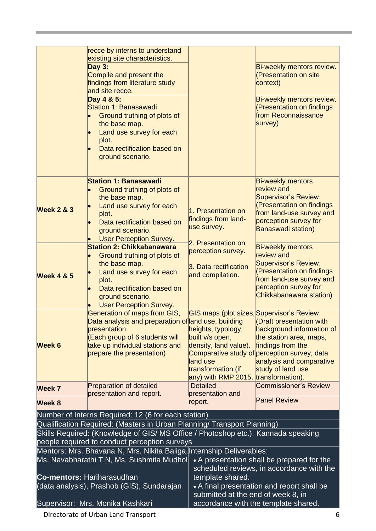|                                            | recce by interns to understand<br>existing site characteristics.                                                                                                 |                                                                                  |                                                                   |  |
|--------------------------------------------|------------------------------------------------------------------------------------------------------------------------------------------------------------------|----------------------------------------------------------------------------------|-------------------------------------------------------------------|--|
|                                            | <b>Day 3:</b>                                                                                                                                                    |                                                                                  | Bi-weekly mentors review.                                         |  |
|                                            | Compile and present the                                                                                                                                          |                                                                                  | <b>(Presentation on site</b>                                      |  |
|                                            | findings from literature study<br>and site recce.                                                                                                                |                                                                                  | context)                                                          |  |
|                                            | Day 4 & 5:                                                                                                                                                       |                                                                                  | Bi-weekly mentors review.                                         |  |
|                                            | Station 1: Banasawadi                                                                                                                                            |                                                                                  | (Presentation on findings<br>from Reconnaissance                  |  |
|                                            | Ground truthing of plots of<br>the base map.                                                                                                                     |                                                                                  | survey)                                                           |  |
|                                            | Land use survey for each                                                                                                                                         |                                                                                  |                                                                   |  |
|                                            | plot.<br>Data rectification based on                                                                                                                             |                                                                                  |                                                                   |  |
|                                            | ground scenario.                                                                                                                                                 |                                                                                  |                                                                   |  |
|                                            |                                                                                                                                                                  |                                                                                  |                                                                   |  |
|                                            | <b>Station 1: Banasawadi</b>                                                                                                                                     |                                                                                  | <b>Bi-weekly mentors</b>                                          |  |
|                                            | Ground truthing of plots of<br>the base map.                                                                                                                     |                                                                                  | review and<br>Supervisor's Review.                                |  |
|                                            | Land use survey for each                                                                                                                                         |                                                                                  | (Presentation on findings                                         |  |
| <b>Week 2 &amp; 3</b>                      | plot.                                                                                                                                                            | 1. Presentation on<br>findings from land-                                        | from land-use survey and                                          |  |
|                                            | Data rectification based on<br>ground scenario.                                                                                                                  | use survey.                                                                      | perception survey for<br><b>Banaswadi station)</b>                |  |
|                                            | <b>User Perception Survey.</b>                                                                                                                                   | 2. Presentation on                                                               |                                                                   |  |
|                                            | <b>Station 2: Chikkabanawara</b>                                                                                                                                 | perception survey.                                                               | <b>Bi-weekly mentors</b>                                          |  |
|                                            | Ground truthing of plots of<br>the base map.                                                                                                                     |                                                                                  | review and<br>Supervisor's Review.                                |  |
| <b>Week 4 &amp; 5</b>                      | Land use survey for each                                                                                                                                         | 3. Data rectification<br>and compilation.                                        | (Presentation on findings                                         |  |
|                                            | plot.<br>Data rectification based on                                                                                                                             |                                                                                  | from land-use survey and<br>perception survey for                 |  |
|                                            | ground scenario.                                                                                                                                                 |                                                                                  | Chikkabanawara station)                                           |  |
|                                            | <b>User Perception Survey.</b>                                                                                                                                   |                                                                                  |                                                                   |  |
|                                            | Generation of maps from GIS,<br>Data analysis and preparation of and use, building                                                                               | GIS maps (plot sizes, Supervisor's Review.                                       | <b>(Draft presentation with</b>                                   |  |
|                                            | presentation.                                                                                                                                                    | heights, typology,                                                               | background information of                                         |  |
| Week 6                                     | (Each group of 6 students will                                                                                                                                   | built v/s open,                                                                  | the station area, maps,                                           |  |
|                                            | take up individual stations and<br>prepare the presentation)                                                                                                     | density, land value).                                                            | findings from the<br>Comparative study of perception survey, data |  |
|                                            |                                                                                                                                                                  | land use                                                                         | analysis and comparative                                          |  |
|                                            |                                                                                                                                                                  | transformation (if<br>any) with RMP 2015. transformation).                       | study of land use                                                 |  |
| Week 7                                     | <b>Preparation of detailed</b>                                                                                                                                   | <b>Detailed</b>                                                                  | <b>Commissioner's Review</b>                                      |  |
| Week 8                                     | presentation and report.                                                                                                                                         | presentation and<br>report.                                                      | <b>Panel Review</b>                                               |  |
|                                            | Number of Interns Required: 12 (6 for each station)                                                                                                              |                                                                                  |                                                                   |  |
|                                            | Qualification Required: (Masters in Urban Planning/ Transport Planning)                                                                                          |                                                                                  |                                                                   |  |
|                                            | Skills Required: (Knowledge of GIS/ MS Office / Photoshop etc.). Kannada speaking                                                                                |                                                                                  |                                                                   |  |
|                                            | people required to conduct perception surveys                                                                                                                    |                                                                                  |                                                                   |  |
|                                            | Mentors: Mrs. Bhavana N, Mrs. Nikita Baliga, Internship Deliverables:<br>Ms. Navabharathi T.N, Ms. Sushmita Mudhol<br>• A presentation shall be prepared for the |                                                                                  |                                                                   |  |
|                                            |                                                                                                                                                                  | scheduled reviews, in accordance with the                                        |                                                                   |  |
| <b>Co-mentors: Hariharasudhan</b>          |                                                                                                                                                                  | template shared.                                                                 |                                                                   |  |
| (data analysis), Prashob (GIS), Sundarajan |                                                                                                                                                                  | • A final presentation and report shall be<br>submitted at the end of week 8, in |                                                                   |  |
| Supervisor: Mrs. Monika Kashkari           |                                                                                                                                                                  | accordance with the template shared.                                             |                                                                   |  |

Directorate of Urban Land Transport 6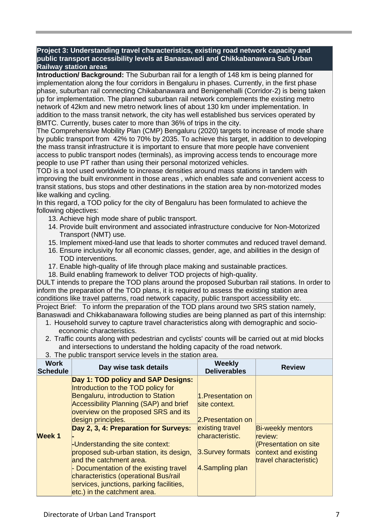**Project 3: Understanding travel characteristics, existing road network capacity and public transport accessibility levels at Banasawadi and Chikkabanawara Sub Urban Railway station areas**

**Introduction/ Background:** The Suburban rail for a length of 148 km is being planned for implementation along the four corridors in Bengaluru in phases. Currently, in the first phase phase, suburban rail connecting Chikabanawara and Benigenehalli (Corridor-2) is being taken up for implementation. The planned suburban rail network complements the existing metro network of 42km and new metro network lines of about 130 km under implementation. In addition to the mass transit network, the city has well established bus services operated by BMTC. Currently, buses cater to more than 36% of trips in the city.

The Comprehensive Mobility Plan (CMP) Bengaluru (2020) targets to increase of mode share by public transport from 42% to 70% by 2035. To achieve this target, in addition to developing the mass transit infrastructure it is important to ensure that more people have convenient access to public transport nodes (terminals), as improving access tends to encourage more people to use PT rather than using their personal motorized vehicles.

TOD is a tool used worldwide to increase densities around mass stations in tandem with improving the built environment in those areas , which enables safe and convenient access to transit stations, bus stops and other destinations in the station area by non-motorized modes like walking and cycling.

In this regard, a TOD policy for the city of Bengaluru has been formulated to achieve the following objectives:

- 13. Achieve high mode share of public transport.
- 14. Provide built environment and associated infrastructure conducive for Non-Motorized Transport (NMT) use.
- 15. Implement mixed-land use that leads to shorter commutes and reduced travel demand.
- 16. Ensure inclusivity for all economic classes, gender, age, and abilities in the design of TOD interventions.
- 17. Enable high-quality of life through place making and sustainable practices.
- 18. Build enabling framework to deliver TOD projects of high-quality.

DULT intends to prepare the TOD plans around the proposed Suburban rail stations. In order to inform the preparation of the TOD plans, it is required to assess the existing station area conditions like travel patterns, road network capacity, public transport accessibility etc. Project Brief: To inform the preparation of the TOD plans around two SRS station namely,

Banaswadi and Chikkabanawara following studies are being planned as part of this internship: 1. Household survey to capture travel characteristics along with demographic and socio-

- economic characteristics.
- 2. Traffic counts along with pedestrian and cyclists' counts will be carried out at mid blocks and intersections to understand the holding capacity of the road network.

| <b>Work</b><br>Schedule | Day wise task details                                                                                                                                                                                                                                                                                                                                                                                                                                                                                                                    | <b>Weekly</b><br><b>Deliverables</b>                                                                                                   | <b>Review</b>                                                                                                         |
|-------------------------|------------------------------------------------------------------------------------------------------------------------------------------------------------------------------------------------------------------------------------------------------------------------------------------------------------------------------------------------------------------------------------------------------------------------------------------------------------------------------------------------------------------------------------------|----------------------------------------------------------------------------------------------------------------------------------------|-----------------------------------------------------------------------------------------------------------------------|
| Week 1                  | Day 1: TOD policy and SAP Designs:<br>Introduction to the TOD policy for<br>Bengaluru, introduction to Station<br>Accessibility Planning (SAP) and brief<br>overview on the proposed SRS and its<br>design principles.<br>Day 2, 3, 4: Preparation for Surveys:<br>-Understanding the site context:<br>proposed sub-urban station, its design,<br>and the catchment area.<br>- Documentation of the existing travel<br>characteristics (operational Bus/rail<br>services, junctions, parking facilities,<br>etc.) in the catchment area. | 1.Presentation on<br>site context.<br>2. Presentation on<br>existing travel<br>characteristic.<br>3. Survey formats<br>4.Sampling plan | <b>Bi-weekly mentors</b><br>review:<br><b>(Presentation on site</b><br>context and existing<br>travel characteristic) |

3. The public transport service levels in the station area.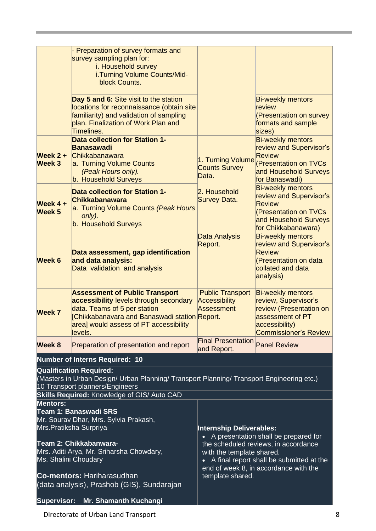|                                                                                                                                                                                                               | - Preparation of survey formats and<br>survey sampling plan for:<br>i. Household survey<br>i.Turning Volume Counts/Mid-<br>block Counts.                                                                             |                                                                                                                                                                              |                                                                                                                                                   |
|---------------------------------------------------------------------------------------------------------------------------------------------------------------------------------------------------------------|----------------------------------------------------------------------------------------------------------------------------------------------------------------------------------------------------------------------|------------------------------------------------------------------------------------------------------------------------------------------------------------------------------|---------------------------------------------------------------------------------------------------------------------------------------------------|
|                                                                                                                                                                                                               | Day 5 and 6: Site visit to the station<br>locations for reconnaissance (obtain site<br>familiarity) and validation of sampling<br>plan. Finalization of Work Plan and<br>Timelines.                                  |                                                                                                                                                                              | <b>Bi-weekly mentors</b><br>review<br>(Presentation on survey<br>formats and sample<br>sizes)                                                     |
| Week $2 +$<br>Week 3                                                                                                                                                                                          | <b>Data collection for Station 1-</b><br><b>Banasawadi</b><br>Chikkabanawara<br>a. Turning Volume Counts<br>(Peak Hours only).<br>b. Household Surveys                                                               | 1. Turning Volume<br><b>Counts Survey</b><br>Data.                                                                                                                           | <b>Bi-weekly mentors</b><br>review and Supervisor's<br><b>Review</b><br>(Presentation on TVCs<br>and Household Surveys<br>for Banaswadi)          |
| Week $4 +$<br>Week 5                                                                                                                                                                                          | <b>Data collection for Station 1-</b><br><b>Chikkabanawara</b><br>a. Turning Volume Counts (Peak Hours<br>only).<br>b. Household Surveys                                                                             | 2. Household<br><b>Survey Data.</b>                                                                                                                                          | <b>Bi-weekly mentors</b><br>review and Supervisor's<br>Review<br>(Presentation on TVCs<br>and Household Surveys<br>for Chikkabanawara)            |
| Week 6                                                                                                                                                                                                        | Data assessment, gap identification<br>and data analysis:<br>Data validation and analysis                                                                                                                            | Data Analysis<br>Report.                                                                                                                                                     | <b>Bi-weekly mentors</b><br>review and Supervisor's<br><b>Review</b><br>(Presentation on data<br>collated and data<br>analysis)                   |
| <b>Week 7</b>                                                                                                                                                                                                 | <b>Assessment of Public Transport</b><br>accessibility levels through secondary<br>data. Teams of 5 per station<br>Chikkabanavara and Banaswadi station Report.<br>area] would assess of PT accessibility<br>levels. | <b>Public Transport</b><br><b>Accessibility</b><br>Assessment                                                                                                                | <b>Bi-weekly mentors</b><br>review, Supervisor's<br>review (Presentation on<br>assessment of PT<br>accessibility)<br><b>Commissioner's Review</b> |
| Week 8                                                                                                                                                                                                        | Preparation of presentation and report                                                                                                                                                                               | <b>Final Presentation</b><br>and Report.                                                                                                                                     | <b>Panel Review</b>                                                                                                                               |
|                                                                                                                                                                                                               | <b>Number of Interns Required: 10</b>                                                                                                                                                                                |                                                                                                                                                                              |                                                                                                                                                   |
| <b>Qualification Required:</b><br>(Masters in Urban Design/ Urban Planning/ Transport Planning/ Transport Engineering etc.)<br>10 Transport planners/Engineers<br>Skills Required: Knowledge of GIS/ Auto CAD |                                                                                                                                                                                                                      |                                                                                                                                                                              |                                                                                                                                                   |
| <b>Mentors:</b><br><b>Team 1: Banaswadi SRS</b><br>Mr. Sourav Dhar, Mrs. Sylvia Prakash,<br>Mrs. Pratiksha Surpriya<br><b>Internship Deliverables:</b><br>A presentation shall be prepared for                |                                                                                                                                                                                                                      |                                                                                                                                                                              |                                                                                                                                                   |
| Team 2: Chikkabanwara-<br>Mrs. Aditi Arya, Mr. Sriharsha Chowdary,<br>Ms. Shalini Choudary<br><b>Co-mentors: Hariharasudhan</b>                                                                               |                                                                                                                                                                                                                      | the scheduled reviews, in accordance<br>with the template shared.<br>• A final report shall be submitted at the<br>end of week 8, in accordance with the<br>template shared. |                                                                                                                                                   |
|                                                                                                                                                                                                               | (data analysis), Prashob (GIS), Sundarajan                                                                                                                                                                           |                                                                                                                                                                              |                                                                                                                                                   |
| <b>Supervisor:</b>                                                                                                                                                                                            | <b>Mr. Shamanth Kuchangi</b>                                                                                                                                                                                         |                                                                                                                                                                              |                                                                                                                                                   |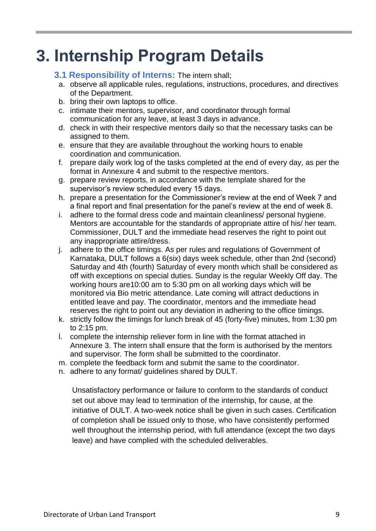## **3. Internship Program Details**

#### **3.1 Responsibility of Interns:** The intern shall;

- a. observe all applicable rules, regulations, instructions, procedures, and directives of the Department.
- b. bring their own laptops to office.
- c. intimate their mentors, supervisor, and coordinator through formal communication for any leave, at least 3 days in advance.
- d. check in with their respective mentors daily so that the necessary tasks can be assigned to them.
- e. ensure that they are available throughout the working hours to enable coordination and communication.
- f. prepare daily work log of the tasks completed at the end of every day, as per the format in Annexure 4 and submit to the respective mentors.
- g. prepare review reports, in accordance with the template shared for the supervisor's review scheduled every 15 days.
- h. prepare a presentation for the Commissioner's review at the end of Week 7 and a final report and final presentation for the panel's review at the end of week 8.
- i. adhere to the formal dress code and maintain cleanliness/ personal hygiene. Mentors are accountable for the standards of appropriate attire of his/ her team. Commissioner, DULT and the immediate head reserves the right to point out any inappropriate attire/dress.
- j. adhere to the office timings. As per rules and regulations of Government of Karnataka, DULT follows a 6(six) days week schedule, other than 2nd (second) Saturday and 4th (fourth) Saturday of every month which shall be considered as off with exceptions on special duties. Sunday is the regular Weekly Off day. The working hours are10:00 am to 5:30 pm on all working days which will be monitored via Bio metric attendance. Late coming will attract deductions in entitled leave and pay. The coordinator, mentors and the immediate head reserves the right to point out any deviation in adhering to the office timings.
- k. strictly follow the timings for lunch break of 45 (forty-five) minutes, from 1:30 pm to 2:15 pm.
- l. complete the internship reliever form in line with the format attached in Annexure 3. The intern shall ensure that the form is authorised by the mentors and supervisor. The form shall be submitted to the coordinator.
- m. complete the feedback form and submit the same to the coordinator.
- n. adhere to any format/ guidelines shared by DULT.

Unsatisfactory performance or failure to conform to the standards of conduct set out above may lead to termination of the internship, for cause, at the initiative of DULT. A two-week notice shall be given in such cases. Certification of completion shall be issued only to those, who have consistently performed well throughout the internship period, with full attendance (except the two days leave) and have complied with the scheduled deliverables.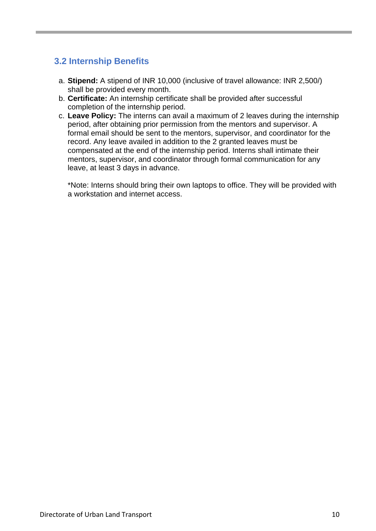### **3.2 Internship Benefits**

- a. **Stipend:** A stipend of INR 10,000 (inclusive of travel allowance: INR 2,500/) shall be provided every month.
- b. **Certificate:** An internship certificate shall be provided after successful completion of the internship period.
- c. **Leave Policy:** The interns can avail a maximum of 2 leaves during the internship period, after obtaining prior permission from the mentors and supervisor. A formal email should be sent to the mentors, supervisor, and coordinator for the record. Any leave availed in addition to the 2 granted leaves must be compensated at the end of the internship period. Interns shall intimate their mentors, supervisor, and coordinator through formal communication for any leave, at least 3 days in advance.

\*Note: Interns should bring their own laptops to office. They will be provided with a workstation and internet access.